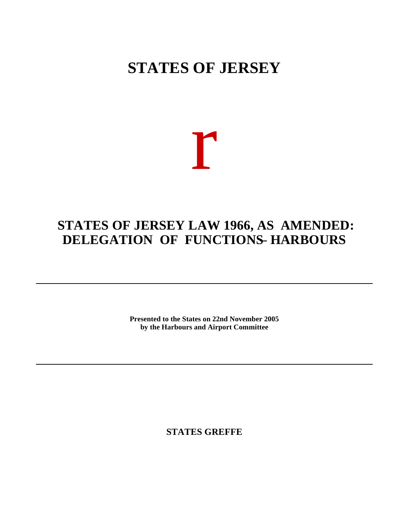## **STATES OF JERSEY**

# r

## **STATES OF JERSEY LAW 1966, AS AMENDED: DELEGATION OF FUNCTIONS – HARBOURS**

**Presented to the States on 22nd November 2005 by the Harbours and Airport Committee**

**STATES GREFFE**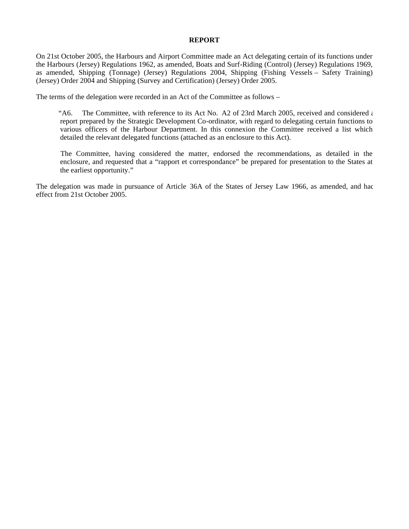#### **REPORT**

On 21st October 2005, the Harbours and Airport Committee made an Act delegating certain of its functions under the Harbours (Jersey) Regulations 1962, as amended, Boats and Surf-Riding (Control) (Jersey) Regulations 1969, as amended, Shipping (Tonnage) (Jersey) Regulations 2004, Shipping (Fishing Vessels – Safety Training) (Jersey) Order 2004 and Shipping (Survey and Certification) (Jersey) Order 2005.

The terms of the delegation were recorded in an Act of the Committee as follows –

"A6. The Committee, with reference to its Act No. A2 of 23rd March 2005, received and considered  $\epsilon$ report prepared by the Strategic Development Co-ordinator, with regard to delegating certain functions to various officers of the Harbour Department. In this connexion the Committee received a list which detailed the relevant delegated functions (attached as an enclosure to this Act).

 The Committee, having considered the matter, endorsed the recommendations, as detailed in the enclosure, and requested that a "rapport et correspondance" be prepared for presentation to the States at the earliest opportunity."

The delegation was made in pursuance of Article 36A of the States of Jersey Law 1966, as amended, and had effect from 21st October 2005.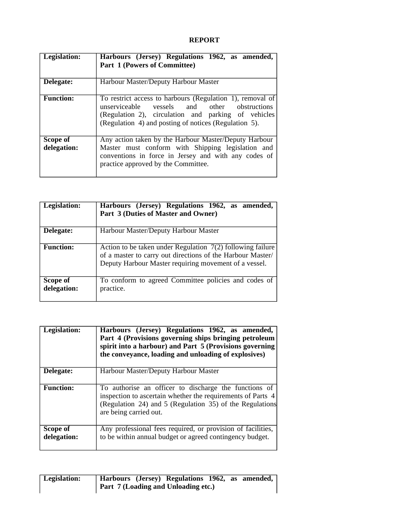### **REPORT**

| Legislation:            | Harbours (Jersey) Regulations 1962, as amended,<br>Part 1 (Powers of Committee)                                                                                                                                           |
|-------------------------|---------------------------------------------------------------------------------------------------------------------------------------------------------------------------------------------------------------------------|
| Delegate:               | Harbour Master/Deputy Harbour Master                                                                                                                                                                                      |
| <b>Function:</b>        | To restrict access to harbours (Regulation 1), removal of<br>unserviceable vessels and other obstructions<br>(Regulation 2), circulation and parking of vehicles<br>(Regulation 4) and posting of notices (Regulation 5). |
| Scope of<br>delegation: | Any action taken by the Harbour Master/Deputy Harbour<br>Master must conform with Shipping legislation and<br>conventions in force in Jersey and with any codes of<br>practice approved by the Committee.                 |

| Legislation:            | Harbours (Jersey) Regulations 1962, as amended,<br>Part 3 (Duties of Master and Owner)                                                                                              |
|-------------------------|-------------------------------------------------------------------------------------------------------------------------------------------------------------------------------------|
| Delegate:               | Harbour Master/Deputy Harbour Master                                                                                                                                                |
| <b>Function:</b>        | Action to be taken under Regulation $7(2)$ following failure<br>of a master to carry out directions of the Harbour Master/<br>Deputy Harbour Master requiring movement of a vessel. |
| Scope of<br>delegation: | To conform to agreed Committee policies and codes of<br>practice.                                                                                                                   |

| Legislation:            | Harbours (Jersey) Regulations 1962, as amended,<br>Part 4 (Provisions governing ships bringing petroleum<br>spirit into a harbour) and Part 5 (Provisions governing<br>the conveyance, loading and unloading of explosives) |
|-------------------------|-----------------------------------------------------------------------------------------------------------------------------------------------------------------------------------------------------------------------------|
| Delegate:               | Harbour Master/Deputy Harbour Master                                                                                                                                                                                        |
| <b>Function:</b>        | To authorise an officer to discharge the functions of<br>inspection to ascertain whether the requirements of Parts 4<br>(Regulation 24) and 5 (Regulation 35) of the Regulations<br>are being carried out.                  |
| Scope of<br>delegation: | Any professional fees required, or provision of facilities,<br>to be within annual budget or agreed contingency budget.                                                                                                     |

| <b>Legislation:</b> | Harbours (Jersey) Regulations 1962, as amended, |
|---------------------|-------------------------------------------------|
|                     | $\vert$ Part 7 (Loading and Unloading etc.)     |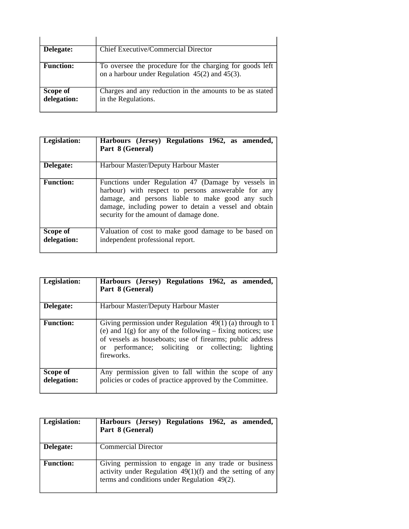| Delegate:               | <b>Chief Executive/Commercial Director</b>                                                                        |
|-------------------------|-------------------------------------------------------------------------------------------------------------------|
| <b>Function:</b>        | To oversee the procedure for the charging for goods left  <br>on a harbour under Regulation $45(2)$ and $45(3)$ . |
| Scope of<br>delegation: | Charges and any reduction in the amounts to be as stated<br>in the Regulations.                                   |

| Legislation:            | Harbours (Jersey) Regulations 1962, as amended,<br>Part 8 (General)                                                                                                                                                                                                |
|-------------------------|--------------------------------------------------------------------------------------------------------------------------------------------------------------------------------------------------------------------------------------------------------------------|
| Delegate:               | Harbour Master/Deputy Harbour Master                                                                                                                                                                                                                               |
| <b>Function:</b>        | Functions under Regulation 47 (Damage by vessels in<br>harbour) with respect to persons answerable for any<br>damage, and persons liable to make good any such<br>damage, including power to detain a vessel and obtain<br>security for the amount of damage done. |
| Scope of<br>delegation: | Valuation of cost to make good damage to be based on<br>independent professional report.                                                                                                                                                                           |

| Legislation:            | Harbours (Jersey) Regulations 1962, as amended,<br>Part 8 (General)                                                                                                                                                                                                      |
|-------------------------|--------------------------------------------------------------------------------------------------------------------------------------------------------------------------------------------------------------------------------------------------------------------------|
| Delegate:               | Harbour Master/Deputy Harbour Master                                                                                                                                                                                                                                     |
| <b>Function:</b>        | Giving permission under Regulation $\overline{49(1)}$ (a) through to 1<br>(e) and $1(g)$ for any of the following – fixing notices; use<br>of vessels as houseboats; use of firearms; public address<br>or performance; soliciting or collecting; lighting<br>fireworks. |
| Scope of<br>delegation: | Any permission given to fall within the scope of any<br>policies or codes of practice approved by the Committee.                                                                                                                                                         |

| Legislation:     | Harbours (Jersey) Regulations 1962, as amended,<br>Part 8 (General)                                                                                                 |
|------------------|---------------------------------------------------------------------------------------------------------------------------------------------------------------------|
| Delegate:        | <b>Commercial Director</b>                                                                                                                                          |
| <b>Function:</b> | Giving permission to engage in any trade or business<br>activity under Regulation $49(1)(f)$ and the setting of any<br>terms and conditions under Regulation 49(2). |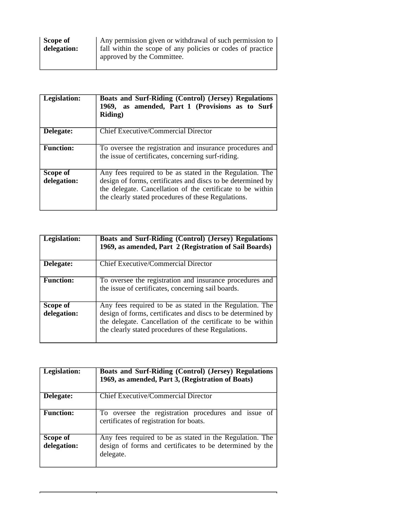| Scope of    | Any permission given or withdrawal of such permission to   |
|-------------|------------------------------------------------------------|
| delegation: | fall within the scope of any policies or codes of practice |
|             | approved by the Committee.                                 |

| Legislation:            | <b>Boats and Surf-Riding (Control) (Jersey) Regulations</b><br>1969, as amended, Part 1 (Provisions as to Surf<br><b>Riding</b> )                                                                                                            |
|-------------------------|----------------------------------------------------------------------------------------------------------------------------------------------------------------------------------------------------------------------------------------------|
| Delegate:               | Chief Executive/Commercial Director                                                                                                                                                                                                          |
| <b>Function:</b>        | To oversee the registration and insurance procedures and<br>the issue of certificates, concerning surf-riding.                                                                                                                               |
| Scope of<br>delegation: | Any fees required to be as stated in the Regulation. The<br>design of forms, certificates and discs to be determined by<br>the delegate. Cancellation of the certificate to be within<br>the clearly stated procedures of these Regulations. |

| Legislation:            | <b>Boats and Surf-Riding (Control) (Jersey) Regulations</b><br>1969, as amended, Part 2 (Registration of Sail Boards)                                                                                                                        |
|-------------------------|----------------------------------------------------------------------------------------------------------------------------------------------------------------------------------------------------------------------------------------------|
| Delegate:               | Chief Executive/Commercial Director                                                                                                                                                                                                          |
| <b>Function:</b>        | To oversee the registration and insurance procedures and<br>the issue of certificates, concerning sail boards.                                                                                                                               |
| Scope of<br>delegation: | Any fees required to be as stated in the Regulation. The<br>design of forms, certificates and discs to be determined by<br>the delegate. Cancellation of the certificate to be within<br>the clearly stated procedures of these Regulations. |

| Legislation:            | Boats and Surf-Riding (Control) (Jersey) Regulations<br>1969, as amended, Part 3, (Registration of Boats)                         |
|-------------------------|-----------------------------------------------------------------------------------------------------------------------------------|
| Delegate:               | Chief Executive/Commercial Director                                                                                               |
| <b>Function:</b>        | To oversee the registration procedures and issue of<br>certificates of registration for boats.                                    |
| Scope of<br>delegation: | Any fees required to be as stated in the Regulation. The<br>design of forms and certificates to be determined by the<br>delegate. |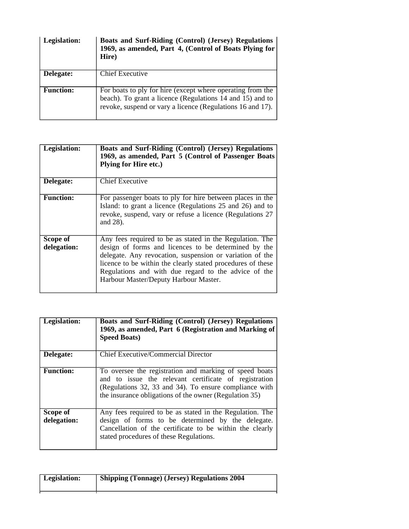| Legislation:     | <b>Boats and Surf-Riding (Control) (Jersey) Regulations</b><br>1969, as amended, Part 4, (Control of Boats Plying for<br>Hire)                                                        |
|------------------|---------------------------------------------------------------------------------------------------------------------------------------------------------------------------------------|
| Delegate:        | Chief Executive                                                                                                                                                                       |
| <b>Function:</b> | For boats to ply for hire (except where operating from the<br>beach). To grant a licence (Regulations 14 and 15) and to<br>revoke, suspend or vary a licence (Regulations 16 and 17). |

| Legislation:            | <b>Boats and Surf-Riding (Control) (Jersey) Regulations</b><br>1969, as amended, Part 5 (Control of Passenger Boats<br><b>Plying for Hire etc.)</b>                                                                                                                                                                                          |
|-------------------------|----------------------------------------------------------------------------------------------------------------------------------------------------------------------------------------------------------------------------------------------------------------------------------------------------------------------------------------------|
| Delegate:               | <b>Chief Executive</b>                                                                                                                                                                                                                                                                                                                       |
| <b>Function:</b>        | For passenger boats to ply for hire between places in the<br>Island: to grant a licence (Regulations 25 and 26) and to<br>revoke, suspend, vary or refuse a licence (Regulations 27<br>and 28).                                                                                                                                              |
| Scope of<br>delegation: | Any fees required to be as stated in the Regulation. The<br>design of forms and licences to be determined by the<br>delegate. Any revocation, suspension or variation of the<br>licence to be within the clearly stated procedures of these<br>Regulations and with due regard to the advice of the<br>Harbour Master/Deputy Harbour Master. |

| Legislation:            | <b>Boats and Surf-Riding (Control) (Jersey) Regulations</b><br>1969, as amended, Part 6 (Registration and Marking of<br><b>Speed Boats)</b>                                                                                         |
|-------------------------|-------------------------------------------------------------------------------------------------------------------------------------------------------------------------------------------------------------------------------------|
| Delegate:               | Chief Executive/Commercial Director                                                                                                                                                                                                 |
| <b>Function:</b>        | To oversee the registration and marking of speed boats<br>and to issue the relevant certificate of registration<br>(Regulations 32, 33 and 34). To ensure compliance with<br>the insurance obligations of the owner (Regulation 35) |
| Scope of<br>delegation: | Any fees required to be as stated in the Regulation. The<br>design of forms to be determined by the delegate.<br>Cancellation of the certificate to be within the clearly<br>stated procedures of these Regulations.                |

| <b>Legislation:</b> | <b>Shipping (Tonnage) (Jersey) Regulations 2004</b> |
|---------------------|-----------------------------------------------------|
|                     |                                                     |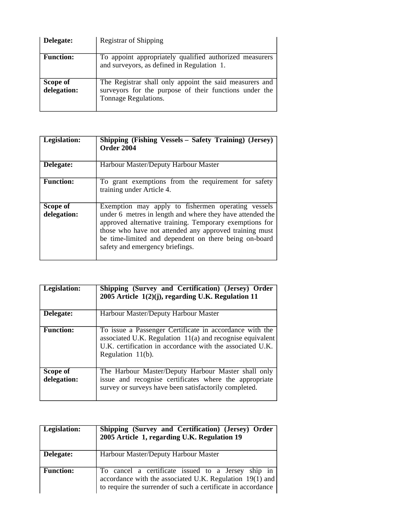| Delegate:               | Registrar of Shipping                                                                                                                     |
|-------------------------|-------------------------------------------------------------------------------------------------------------------------------------------|
| <b>Function:</b>        | To appoint appropriately qualified authorized measurers<br>and surveyors, as defined in Regulation 1.                                     |
| Scope of<br>delegation: | The Registrar shall only appoint the said measurers and<br>surveyors for the purpose of their functions under the<br>Tonnage Regulations. |

| Legislation:            | Shipping (Fishing Vessels – Safety Training) (Jersey)<br><b>Order 2004</b>                                                                                                                                                                                                                                                       |
|-------------------------|----------------------------------------------------------------------------------------------------------------------------------------------------------------------------------------------------------------------------------------------------------------------------------------------------------------------------------|
| Delegate:               | Harbour Master/Deputy Harbour Master                                                                                                                                                                                                                                                                                             |
| <b>Function:</b>        | To grant exemptions from the requirement for safety<br>training under Article 4.                                                                                                                                                                                                                                                 |
| Scope of<br>delegation: | Exemption may apply to fishermen operating vessels<br>under 6 metres in length and where they have attended the<br>approved alternative training. Temporary exemptions for<br>those who have not attended any approved training must<br>be time-limited and dependent on there being on-board<br>safety and emergency briefings. |

| Legislation:            | Shipping (Survey and Certification) (Jersey) Order<br>2005 Article 1(2)(j), regarding U.K. Regulation 11                                                                                                  |
|-------------------------|-----------------------------------------------------------------------------------------------------------------------------------------------------------------------------------------------------------|
| Delegate:               | Harbour Master/Deputy Harbour Master                                                                                                                                                                      |
| <b>Function:</b>        | To issue a Passenger Certificate in accordance with the<br>associated U.K. Regulation 11(a) and recognise equivalent<br>U.K. certification in accordance with the associated U.K.<br>Regulation $11(b)$ . |
| Scope of<br>delegation: | The Harbour Master/Deputy Harbour Master shall only<br>issue and recognise certificates where the appropriate<br>survey or surveys have been satisfactorily completed.                                    |

| Legislation:     | Shipping (Survey and Certification) (Jersey) Order<br>2005 Article 1, regarding U.K. Regulation 19                                                                             |
|------------------|--------------------------------------------------------------------------------------------------------------------------------------------------------------------------------|
| Delegate:        | Harbour Master/Deputy Harbour Master                                                                                                                                           |
| <b>Function:</b> | To cancel a certificate issued to a Jersey ship in<br>accordance with the associated U.K. Regulation 19(1) and<br>to require the surrender of such a certificate in accordance |